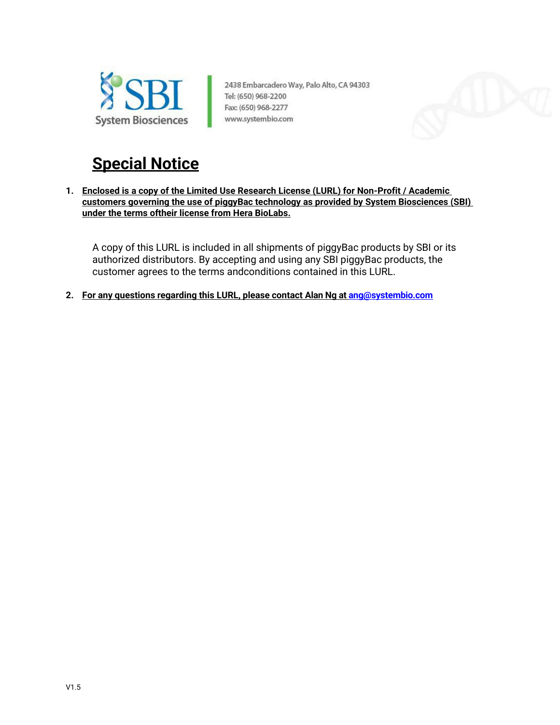

2438 Embarcadero Way, Palo Alto, CA 94303 Tel: (650) 968-2200 Fax: (650) 968-2277 www.systembio.com



# **Special Notice**

**1. Enclosed is a copy of the Limited Use Research License (LURL) for Non-Profit / Academic customers governing the use of piggyBac technology as provided by System Biosciences (SBI) under the terms oftheir license from Hera BioLabs.**

A copy of this LURL is included in all shipments of piggyBac products by SBI or its authorized distributors. By accepting and using any SBI piggyBac products, the customer agrees to the terms andconditions contained in this LURL.

**2. For any questions regarding this LURL, please contact Alan Ng a[t ang@systembio.com](mailto:ang@systembio.com)**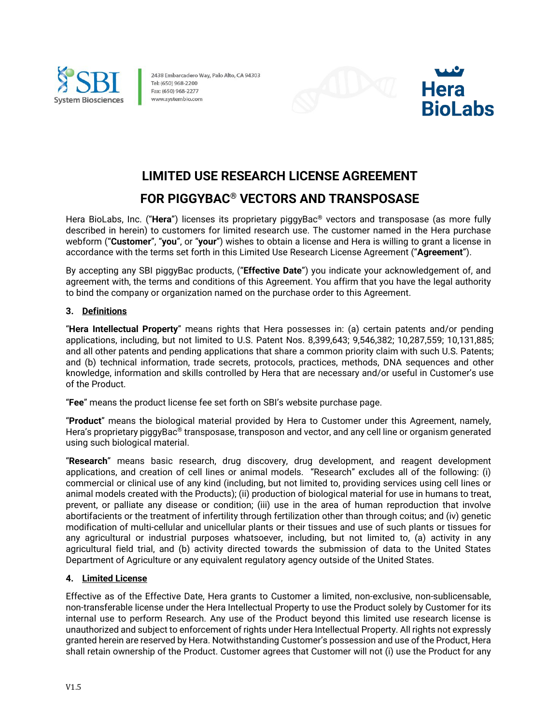

2438 Embarcadero Way, Palo Alto, CA 94303 Tel: (650) 968-2200 Fax: (650) 968-2277 www.systembio.com





## **LIMITED USE RESEARCH LICENSE AGREEMENT**

### **FOR PIGGYBAC® VECTORS AND TRANSPOSASE**

Hera BioLabs, Inc. ("**Hera**") licenses its proprietary piggyBac® vectors and transposase (as more fully described in herein) to customers for limited research use. The customer named in the Hera purchase webform ("**Customer**", "**you**", or "**your**") wishes to obtain a license and Hera is willing to grant a license in accordance with the terms set forth in this Limited Use Research License Agreement ("**Agreement**").

By accepting any SBI piggyBac products, ("**Effective Date**") you indicate your acknowledgement of, and agreement with, the terms and conditions of this Agreement. You affirm that you have the legal authority to bind the company or organization named on the purchase order to this Agreement.

#### **3. Definitions**

"**Hera Intellectual Property**" means rights that Hera possesses in: (a) certain patents and/or pending applications, including, but not limited to U.S. Patent Nos. 8,399,643; 9,546,382; 10,287,559; 10,131,885; and all other patents and pending applications that share a common priority claim with such U.S. Patents; and (b) technical information, trade secrets, protocols, practices, methods, DNA sequences and other knowledge, information and skills controlled by Hera that are necessary and/or useful in Customer's use of the Product.

"**Fee**" means the product license fee set forth on SBI's website purchase page.

"**Product**" means the biological material provided by Hera to Customer under this Agreement, namely, Hera's proprietary piggyBac<sup>®</sup> transposase, transposon and vector, and any cell line or organism generated using such biological material.

"**Research**" means basic research, drug discovery, drug development, and reagent development applications, and creation of cell lines or animal models. "Research" excludes all of the following: (i) commercial or clinical use of any kind (including, but not limited to, providing services using cell lines or animal models created with the Products); (ii) production of biological material for use in humans to treat, prevent, or palliate any disease or condition; (iii) use in the area of human reproduction that involve abortifacients or the treatment of infertility through fertilization other than through coitus; and (iv) genetic modification of multi-cellular and unicellular plants or their tissues and use of such plants or tissues for any agricultural or industrial purposes whatsoever, including, but not limited to, (a) activity in any agricultural field trial, and (b) activity directed towards the submission of data to the United States Department of Agriculture or any equivalent regulatory agency outside of the United States.

#### **4. Limited License**

Effective as of the Effective Date, Hera grants to Customer a limited, non-exclusive, non-sublicensable, non-transferable license under the Hera Intellectual Property to use the Product solely by Customer for its internal use to perform Research. Any use of the Product beyond this limited use research license is unauthorized and subject to enforcement of rights under Hera Intellectual Property. All rights not expressly granted herein are reserved by Hera. Notwithstanding Customer's possession and use of the Product, Hera shall retain ownership of the Product. Customer agrees that Customer will not (i) use the Product for any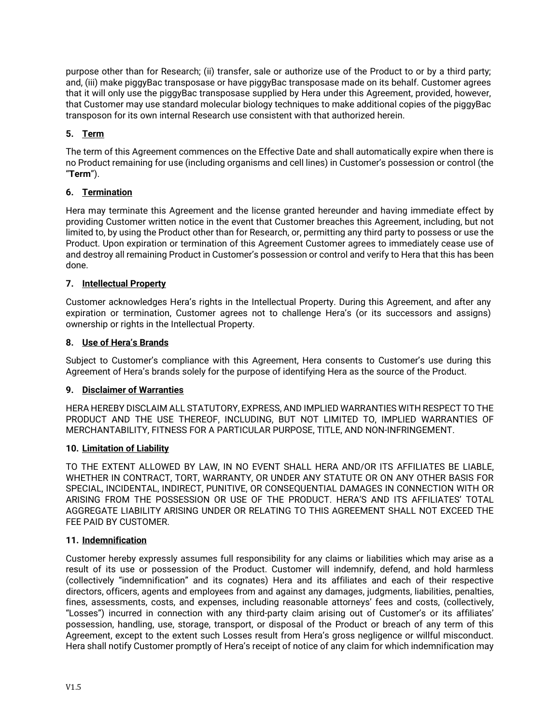purpose other than for Research; (ii) transfer, sale or authorize use of the Product to or by a third party; and, (iii) make piggyBac transposase or have piggyBac transposase made on its behalf. Customer agrees that it will only use the piggyBac transposase supplied by Hera under this Agreement, provided, however, that Customer may use standard molecular biology techniques to make additional copies of the piggyBac transposon for its own internal Research use consistent with that authorized herein.

#### **5. Term**

The term of this Agreement commences on the Effective Date and shall automatically expire when there is no Product remaining for use (including organisms and cell lines) in Customer's possession or control (the "**Term**").

#### **6. Termination**

Hera may terminate this Agreement and the license granted hereunder and having immediate effect by providing Customer written notice in the event that Customer breaches this Agreement, including, but not limited to, by using the Product other than for Research, or, permitting any third party to possess or use the Product. Upon expiration or termination of this Agreement Customer agrees to immediately cease use of and destroy all remaining Product in Customer's possession or control and verify to Hera that this has been done.

#### **7. Intellectual Property**

Customer acknowledges Hera's rights in the Intellectual Property. During this Agreement, and after any expiration or termination, Customer agrees not to challenge Hera's (or its successors and assigns) ownership or rights in the Intellectual Property.

#### **8. Use of Hera's Brands**

Subject to Customer's compliance with this Agreement, Hera consents to Customer's use during this Agreement of Hera's brands solely for the purpose of identifying Hera as the source of the Product.

#### **9. Disclaimer of Warranties**

HERA HEREBY DISCLAIM ALL STATUTORY, EXPRESS, AND IMPLIED WARRANTIES WITH RESPECT TO THE PRODUCT AND THE USE THEREOF, INCLUDING, BUT NOT LIMITED TO, IMPLIED WARRANTIES OF MERCHANTABILITY, FITNESS FOR A PARTICULAR PURPOSE, TITLE, AND NON-INFRINGEMENT.

#### **10. Limitation of Liability**

TO THE EXTENT ALLOWED BY LAW, IN NO EVENT SHALL HERA AND/OR ITS AFFILIATES BE LIABLE, WHETHER IN CONTRACT, TORT, WARRANTY, OR UNDER ANY STATUTE OR ON ANY OTHER BASIS FOR SPECIAL, INCIDENTAL, INDIRECT, PUNITIVE, OR CONSEQUENTIAL DAMAGES IN CONNECTION WITH OR ARISING FROM THE POSSESSION OR USE OF THE PRODUCT. HERA'S AND ITS AFFILIATES' TOTAL AGGREGATE LIABILITY ARISING UNDER OR RELATING TO THIS AGREEMENT SHALL NOT EXCEED THE FEE PAID BY CUSTOMER.

#### **11. Indemnification**

Customer hereby expressly assumes full responsibility for any claims or liabilities which may arise as a result of its use or possession of the Product. Customer will indemnify, defend, and hold harmless (collectively "indemnification" and its cognates) Hera and its affiliates and each of their respective directors, officers, agents and employees from and against any damages, judgments, liabilities, penalties, fines, assessments, costs, and expenses, including reasonable attorneys' fees and costs, (collectively, "Losses") incurred in connection with any third-party claim arising out of Customer's or its affiliates' possession, handling, use, storage, transport, or disposal of the Product or breach of any term of this Agreement, except to the extent such Losses result from Hera's gross negligence or willful misconduct. Hera shall notify Customer promptly of Hera's receipt of notice of any claim for which indemnification may